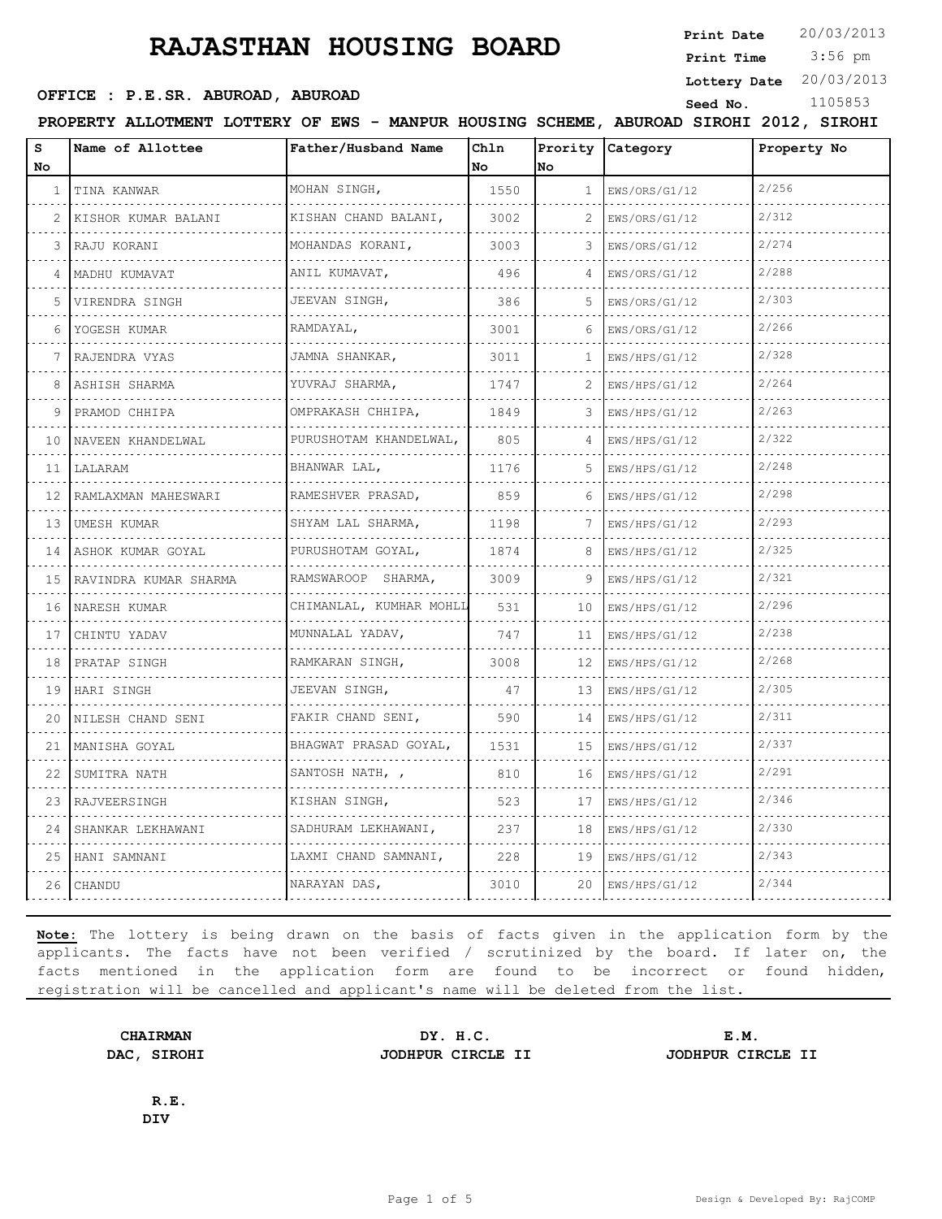**Print Date**  $20/03/2013$ 

 3:56 pm **Print Time**

**Lottery Date** 20/03/2013

#### **SEED OFFICE : P.E.SR. ABUROAD, ABUROAD Seed No.** 1105853

**PROPERTY ALLOTMENT LOTTERY OF EWS - MANPUR HOUSING SCHEME, ABUROAD SIROHI 2012, SIROHI**

| S<br>No.     | Name of Allottee      | Father/Husband Name         | Chln<br>No | No           | Prority Category   | Property No |
|--------------|-----------------------|-----------------------------|------------|--------------|--------------------|-------------|
| $\mathbf{1}$ | TINA KANWAR           | MOHAN SINGH,                | 1550       | $\mathbf{1}$ | EWS/ORS/G1/12      | 2/256       |
| 2            | KISHOR KUMAR BALANI   | KISHAN CHAND BALANI,        | 3002       | 2            | EWS/ORS/G1/12      | 2/312       |
| 3            | RAJU KORANI           | MOHANDAS KORANI,            | 3003       | 3            | EWS/ORS/G1/12      | 2/274       |
| 4            | MADHU KUMAVAT         | .<br>ANIL KUMAVAT,<br>.     | 496        | 4            | EWS/ORS/G1/12<br>. | 2/288       |
| 5            | VIRENDRA SINGH        | JEEVAN SINGH,               | 386        | .5           | EWS/ORS/G1/12      | 2/303       |
| 6            | YOGESH KUMAR          | RAMDAYAL,                   | 3001       | 6            | EWS/ORS/G1/12      | 2/266       |
| 7            | RAJENDRA VYAS         | JAMNA SHANKAR,              | 3011       | 1.           | EWS/HPS/G1/12      | 2/328       |
| 8            | ASHISH SHARMA         | YUVRAJ SHARMA,              | 1747       | 2            | EWS/HPS/G1/12      | 2/264       |
| 9            | PRAMOD CHHIPA         | OMPRAKASH CHHIPA,           | 1849       | 3            | EWS/HPS/G1/12      | 2/263       |
| 10           | NAVEEN KHANDELWAL     | PURUSHOTAM KHANDELWAL,<br>. | 805        | $\Delta$     | EWS/HPS/G1/12      | 2/322       |
| 11           | LALARAM               | BHANWAR LAL,                | 1176       | .5           | EWS/HPS/G1/12      | 2/248       |
| 12           | RAMLAXMAN MAHESWARI   | RAMESHVER PRASAD,           | 859        | 6            | EWS/HPS/G1/12      | 2/298       |
| 13           | UMESH KUMAR           | SHYAM LAL SHARMA,           | 1198       | 7            | EWS/HPS/G1/12      | 2/293       |
| 14           | ASHOK KUMAR GOYAL     | PURUSHOTAM GOYAL,           | 1874       | 8            | EWS/HPS/G1/12      | 2/325       |
| 15           | RAVINDRA KUMAR SHARMA | RAMSWAROOP SHARMA,<br>.     | 3009       | 9            | EWS/HPS/G1/12      | 2/321       |
| 16           | NARESH KUMAR          | CHIMANLAL, KUMHAR MOHLL     | 531        | 10           | EWS/HPS/G1/12      | 2/296       |
| 17           | CHINTU YADAV          | MUNNALAL YADAV,             | 747        | 11           | EWS/HPS/G1/12      | 2/238       |
| 18           | PRATAP SINGH          | RAMKARAN SINGH,             | 3008       | 12           | EWS/HPS/G1/12      | 2/268       |
| 19           | HARI SINGH            | JEEVAN SINGH,<br>.          | 47         | 13           | EWS/HPS/G1/12      | 2/305       |
| 20           | NILESH CHAND SENI     | FAKIR CHAND SENI,           | 590        | 14           | EWS/HPS/G1/12      | 2/311       |
| 21           | MANISHA GOYAL         | BHAGWAT PRASAD GOYAL,<br>.  | 1531       | 15           | EWS/HPS/G1/12      | 2/337       |
| 22           | SUMITRA NATH          | SANTOSH NATH, ,             | 810        | 16           | EWS/HPS/G1/12      | 2/291       |
| 23           | RAJVEERSINGH          | KISHAN SINGH,               | 523        | 17           | EWS/HPS/G1/12      | 2/346       |
| 24           | SHANKAR LEKHAWANI     | SADHURAM LEKHAWANI,         | 237        | 18           | EWS/HPS/G1/12      | 2/330       |
| 25           | HANI SAMNANI          | LAXMI CHAND SAMNANI,        | 228        | 19           | EWS/HPS/G1/12      | 2/343       |
| 26           | CHANDU                | NARAYAN DAS,                | 3010       | 20           | EWS/HPS/G1/12      | 2/344       |

**Note:** The lottery is being drawn on the basis of facts given in the application form by the applicants. The facts have not been verified / scrutinized by the board. If later on, the facts mentioned in the application form are found to be incorrect or found hidden, registration will be cancelled and applicant's name will be deleted from the list.

**CHAIRMAN DY. H.C. E.M. DAC, SIROHI JODHPUR CIRCLE II JODHPUR CIRCLE II**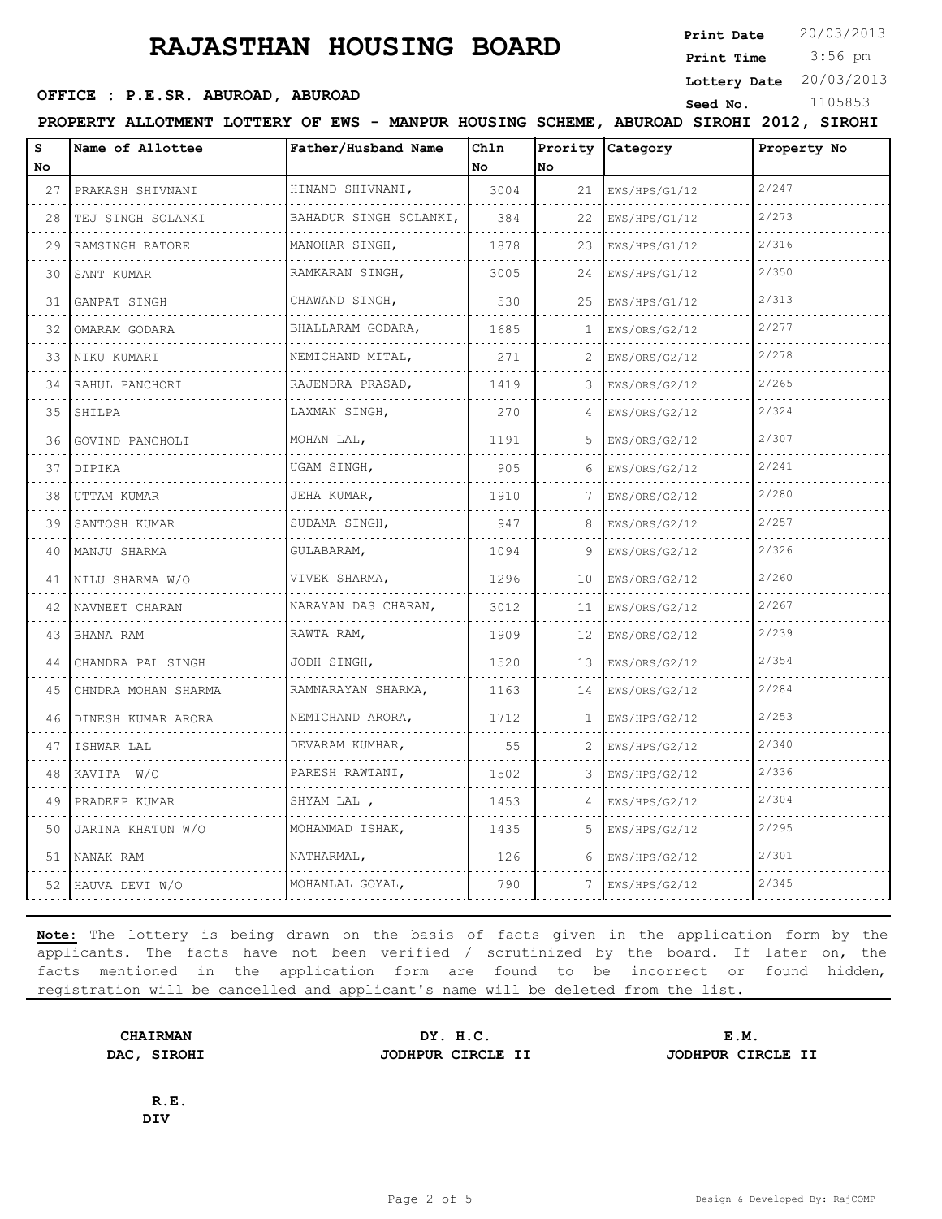**Print Date**  $20/03/2013$ 

 3:56 pm **Print Time**

**Lottery Date** 20/03/2013

#### **SEED OFFICE : P.E.SR. ABUROAD, ABUROAD Seed No.** 1105853

**PROPERTY ALLOTMENT LOTTERY OF EWS - MANPUR HOUSING SCHEME, ABUROAD SIROHI 2012, SIROHI**

| S<br>No | Name of Allottee    | Father/Husband Name     | Chln<br>No. | No              | Prority Category | Property No |
|---------|---------------------|-------------------------|-------------|-----------------|------------------|-------------|
| 27      | PRAKASH SHIVNANI    | HINAND SHIVNANI,        | 3004        | 21              | EWS/HPS/G1/12    | 2/247       |
| 28      | TEJ SINGH SOLANKI   | BAHADUR SINGH SOLANKI,  | 384         | 22              | EWS/HPS/G1/12    | 2/273       |
| 29      | RAMSINGH RATORE     | MANOHAR SINGH,          | 1878        | 23              | EWS/HPS/G1/12    | 2/316       |
| 30      | SANT KUMAR          | RAMKARAN SINGH,         | 3005        | 24              | EWS/HPS/G1/12    | 2/350       |
| 31      | GANPAT SINGH        | CHAWAND SINGH,          | 530         | 25              | EWS/HPS/G1/12    | 2/313       |
| 32      | OMARAM GODARA       | BHALLARAM GODARA,<br>.  | 1685        | 1               | EWS/ORS/G2/12    | 2/277       |
| 33      | NIKU KUMARI         | NEMICHAND MITAL,<br>.   | 271         | 2               | EWS/ORS/G2/12    | 2/278       |
| 34      | RAHUL PANCHORI      | RAJENDRA PRASAD,        | 1419        | 3               | EWS/ORS/G2/12    | 2/265       |
| 35      | SHILPA              | LAXMAN SINGH,           | 270         | 4               | EWS/ORS/G2/12    | 2/324       |
| 36      | GOVIND PANCHOLI     | MOHAN LAL,              | 1191        | 5               | EWS/ORS/G2/12    | 2/307       |
| 37      | DIPIKA              | UGAM SINGH,             | 905         | 6               | EWS/ORS/G2/12    | 2/241       |
| 38      | UTTAM KUMAR<br>.    | JEHA KUMAR,             | 1910        | 7               | EWS/ORS/G2/12    | 2/280       |
| 39      | SANTOSH KUMAR       | SUDAMA SINGH,           | 947         | 8               | EWS/ORS/G2/12    | 2/257       |
| 40      | MANJU SHARMA        | GULABARAM.              | 1094        | 9               | EWS/ORS/G2/12    | 2/326       |
| 41      | NILU SHARMA W/O     | VIVEK SHARMA,           | 1296        | 10              | EWS/ORS/G2/12    | 2/260       |
| 42      | NAVNEET CHARAN      | NARAYAN DAS CHARAN,     | 3012        | 11              | EWS/ORS/G2/12    | 2/267       |
| 43      | BHANA RAM           | RAWTA RAM,              | 1909        | 12 <sup>°</sup> | EWS/ORS/G2/12    | 2/239       |
| 44      | CHANDRA PAL SINGH   | JODH SINGH,             | 1520        | 13              | EWS/ORS/G2/12    | 2/354       |
| 45      | CHNDRA MOHAN SHARMA | RAMNARAYAN SHARMA,<br>. | 1163        | 14              | EWS/ORS/G2/12    | 2/284       |
| 46      | DINESH KUMAR ARORA  | NEMICHAND ARORA,        | 1712        | 1               | EWS/HPS/G2/12    | 2/253       |
| 47      | ISHWAR LAL          | DEVARAM KUMHAR.<br>.    | 55          | 2               | EWS/HPS/G2/12    | 2/340       |
| 48      | KAVITA W/O          | PARESH RAWTANI,         | 1502        | 3               | EWS/HPS/G2/12    | 2/336       |
| 49      | PRADEEP KUMAR       | SHYAM LAL ,             | 1453        | 4               | EWS/HPS/G2/12    | 2/304       |
| 50      | JARINA KHATUN W/O   | MOHAMMAD ISHAK,<br>.    | 1435        | 5               | EWS/HPS/G2/12    | 2/295       |
| 51      | NANAK RAM           | NATHARMAL,              | 126         | 6               | EWS/HPS/G2/12    | 2/301       |
|         | 52 HAUVA DEVI W/O   | MOHANLAL GOYAL,         | 790         | 7               | EWS/HPS/G2/12    | 2/345       |

**Note:** The lottery is being drawn on the basis of facts given in the application form by the applicants. The facts have not been verified / scrutinized by the board. If later on, the facts mentioned in the application form are found to be incorrect or found hidden, registration will be cancelled and applicant's name will be deleted from the list.

**CHAIRMAN DY. H.C. E.M.**

**DAC, SIROHI JODHPUR CIRCLE II JODHPUR CIRCLE II**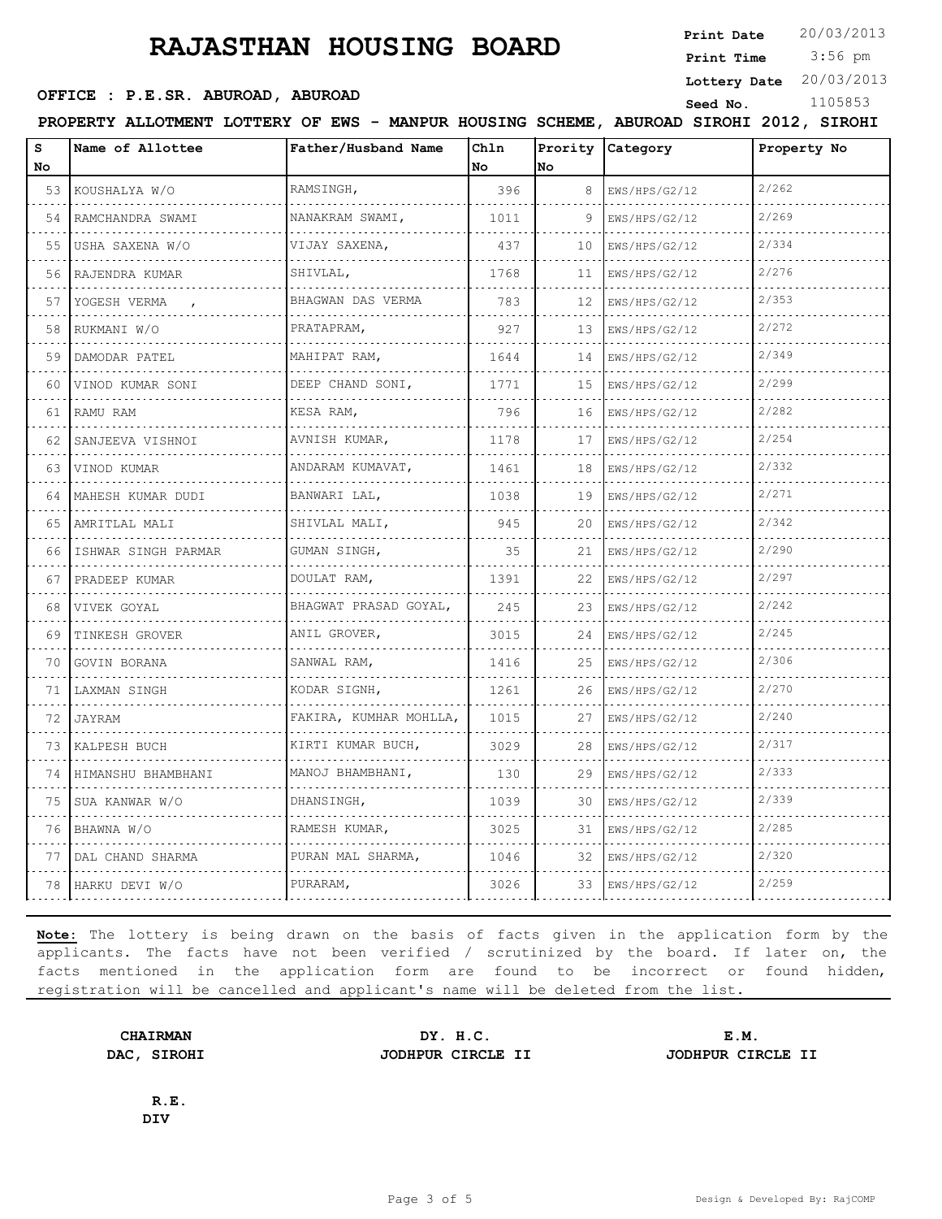**Print Date**  $20/03/2013$ 

 3:56 pm **Print Time**

**Lottery Date** 20/03/2013

#### **SEED OFFICE : P.E.SR. ABUROAD, ABUROAD Seed No.** 1105853

**PROPERTY ALLOTMENT LOTTERY OF EWS - MANPUR HOUSING SCHEME, ABUROAD SIROHI 2012, SIROHI**

| s<br>No | Name of Allottee    | Father/Husband Name    | Chln<br>No | No | Prority Category | Property No |
|---------|---------------------|------------------------|------------|----|------------------|-------------|
| 53      | KOUSHALYA W/O       | RAMSINGH,              | 396        | 8  | EWS/HPS/G2/12    | 2/262       |
| 54      | RAMCHANDRA SWAMI    | NANAKRAM SWAMI,        | 1011       | 9  | EWS/HPS/G2/12    | 2/269       |
| 55      | USHA SAXENA W/O     | .<br>VIJAY SAXENA,     | 437        | 10 | EWS/HPS/G2/12    | 2/334       |
| 56      | .<br>RAJENDRA KUMAR | .<br>SHIVLAL,          | 1768       | 11 | EWS/HPS/G2/12    | 2/276       |
| 57      | YOGESH VERMA        | BHAGWAN DAS VERMA      | 783        | 12 | EWS/HPS/G2/12    | 2/353       |
| 58      | RUKMANI W/O         | PRATAPRAM,             | 927        | 13 | EWS/HPS/G2/12    | 2/272       |
| 59      | DAMODAR PATEL       | MAHIPAT RAM,           | 1644       | 14 | EWS/HPS/G2/12    | 2/349       |
| 60      | VINOD KUMAR SONI    | DEEP CHAND SONI,<br>.  | 1771       | 15 | EWS/HPS/G2/12    | 2/299       |
| 61      | RAMU RAM            | KESA RAM,              | 796        | 16 | EWS/HPS/G2/12    | 2/282       |
| 62      | SANJEEVA VISHNOI    | AVNISH KUMAR,          | 1178       | 17 | EWS/HPS/G2/12    | 2/254       |
| 63      | VINOD KUMAR         | ANDARAM KUMAVAT,<br>.  | 1461       | 18 | EWS/HPS/G2/12    | 2/332       |
| 64      | MAHESH KUMAR DUDI   | BANWARI LAL,           | 1038       | 19 | EWS/HPS/G2/12    | 2/271       |
| 65      | .<br>AMRITLAL MALI  | SHIVLAL MALI,          | 945        | 20 | EWS/HPS/G2/12    | 2/342       |
| 66      | ISHWAR SINGH PARMAR | GUMAN SINGH,           | 35         | 21 | EWS/HPS/G2/12    | 2/290       |
| 67      | PRADEEP KUMAR       | DOULAT RAM,            | 1391       | 22 | EWS/HPS/G2/12    | 2/297       |
| 68      | VIVEK GOYAL         | BHAGWAT PRASAD GOYAL,  | 245        | 23 | EWS/HPS/G2/12    | 2/242       |
| 69      | TINKESH GROVER      | ANIL GROVER,           | 3015       | 24 | EWS/HPS/G2/12    | 2/245       |
| 70      | GOVIN BORANA        | SANWAL RAM,            | 1416       | 25 | EWS/HPS/G2/12    | 2/306       |
| 71      | LAXMAN SINGH        | KODAR SIGNH,           | 1261       | 26 | EWS/HPS/G2/12    | 2/270       |
| 72      | JAYRAM              | FAKIRA, KUMHAR MOHLLA, | 1015       | 27 | EWS/HPS/G2/12    | 2/240       |
| 73      | KALPESH BUCH        | KIRTI KUMAR BUCH,      | 3029       | 28 | EWS/HPS/G2/12    | 2/317       |
| 74      | HIMANSHU BHAMBHANI  | .<br>MANOJ BHAMBHANI,  | 130        | 29 | EWS/HPS/G2/12    | 2/333       |
| 75      | SUA KANWAR W/O      | DHANSINGH,             | 1039       | 30 | EWS/HPS/G2/12    | 2/339       |
| 76      | BHAWNA W/O          | RAMESH KUMAR,          | 3025       | 31 | EWS/HPS/G2/12    | 2/285       |
| 77      | DAL CHAND SHARMA    | PURAN MAL SHARMA,      | 1046       | 32 | EWS/HPS/G2/12    | 2/320       |
| 78      | HARKU DEVI W/O      | PURARAM,               | 3026       | 33 | EWS/HPS/G2/12    | 2/259       |

**Note:** The lottery is being drawn on the basis of facts given in the application form by the applicants. The facts have not been verified / scrutinized by the board. If later on, the facts mentioned in the application form are found to be incorrect or found hidden, registration will be cancelled and applicant's name will be deleted from the list.

**CHAIRMAN DY. H.C. E.M. DAC, SIROHI JODHPUR CIRCLE II JODHPUR CIRCLE II**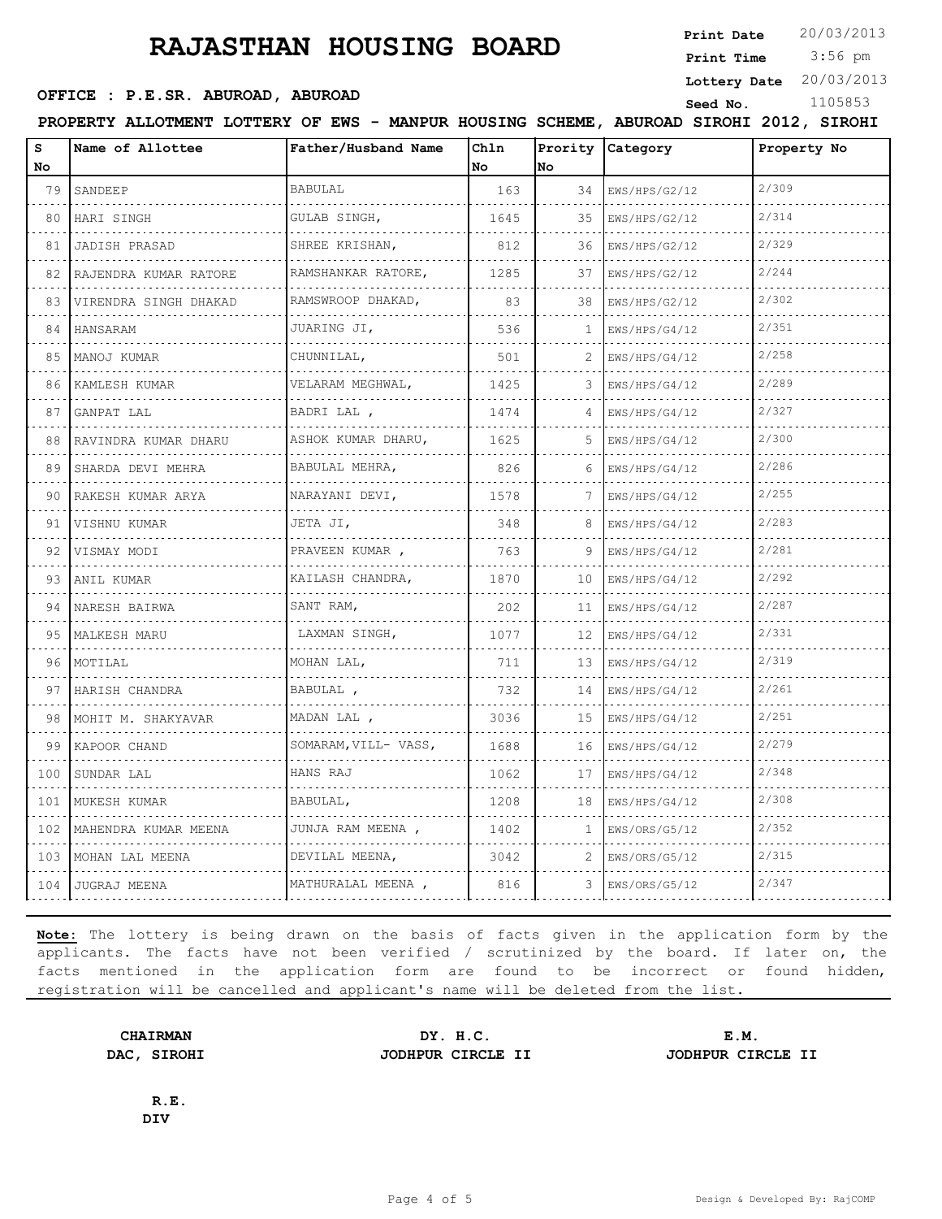**Print Date**  $20/03/2013$ 

 3:56 pm **Print Time**

**Lottery Date** 20/03/2013

#### **SEED OFFICE : P.E.SR. ABUROAD, ABUROAD Seed No.** 1105853

**PROPERTY ALLOTMENT LOTTERY OF EWS - MANPUR HOUSING SCHEME, ABUROAD SIROHI 2012, SIROHI**

| s<br>No | Name of Allottee      | Father/Husband Name            | Ch1n<br>No | No              | Prority Category   | Property No |
|---------|-----------------------|--------------------------------|------------|-----------------|--------------------|-------------|
| 79      | SANDEEP               | <b>BABULAL</b>                 | 163        | 34              | EWS/HPS/G2/12      | 2/309       |
| 80      | HARI SINGH            | GULAB SINGH,                   | 1645       | 35              | EWS/HPS/G2/12      | 2/314       |
| 81      | .<br>JADISH PRASAD    | SHREE KRISHAN,                 | 812        | 36              | EWS/HPS/G2/12      | 2/329       |
| 82      | RAJENDRA KUMAR RATORE | RAMSHANKAR RATORE,<br><u>.</u> | 1285       | 37              | EWS/HPS/G2/12      | 2/244       |
| 83      | VIRENDRA SINGH DHAKAD | RAMSWROOP DHAKAD,<br>.         | 83         | 38              | EWS/HPS/G2/12      | 2/302       |
| 84      | HANSARAM              | JUARING JI,                    | 536        | 1               | EWS/HPS/G4/12      | 2/351       |
| 85      | MANOJ KUMAR           | CHUNNILAL,                     | 501        | 2               | EWS/HPS/G4/12      | 2/258       |
| 86      | KAMLESH KUMAR         | VELARAM MEGHWAL,               | 1425       |                 | EWS/HPS/G4/12      | 2/289       |
| 87      | GANPAT LAL            | BADRI LAL,                     | 1474       |                 | EWS/HPS/G4/12      | 2/327       |
| 88      | RAVINDRA KUMAR DHARU  | ASHOK KUMAR DHARU,<br>.        | 1625       | 5.              | EWS/HPS/G4/12      | 2/300       |
| 89      | SHARDA DEVI MEHRA     | BABULAL MEHRA,                 | 826        | 6               | EWS/HPS/G4/12      | 2/286       |
| 90      | RAKESH KUMAR ARYA     | NARAYANI DEVI,<br>.            | 1578       |                 | EWS/HPS/G4/12      | 2/255       |
| 91      | VISHNU KUMAR<br>.     | JETA JI,                       | 348        | 8               | EWS/HPS/G4/12      | 2/283       |
| 92      | VISMAY MODI           | PRAVEEN KUMAR,                 | 763        | 9               | EWS/HPS/G4/12      | 2/281       |
| 93      | ANIL KUMAR            | KAILASH CHANDRA,<br>.          | 1870       | 10              | EWS/HPS/G4/12      | 2/292       |
| 94      | NARESH BAIRWA         | SANT RAM,                      | 202        | 11              | EWS/HPS/G4/12      | 2/287       |
| 95      | MALKESH MARU          | LAXMAN SINGH,                  | 1077       | 12              | EWS/HPS/G4/12      | 2/331       |
| 96      | MOTILAL               | MOHAN LAL,<br><u>.</u>         | 711        | 13 <sup>°</sup> | EWS/HPS/G4/12<br>. | 2/319       |
| 97      | HARISH CHANDRA        | BABULAL,                       | 732        | 14              | EWS/HPS/G4/12      | 2/261       |
| 98      | MOHIT M. SHAKYAVAR    | MADAN LAL ,                    | 3036       | 15              | EWS/HPS/G4/12      | 2/251       |
| 99      | KAPOOR CHAND          | SOMARAM, VILL- VASS,<br>.      | 1688       | 16              | EWS/HPS/G4/12<br>. | 2/279       |
| 100     | SUNDAR LAL            | HANS RAJ                       | 1062       | 17              | EWS/HPS/G4/12      | 2/348       |
| 101     | MUKESH KUMAR          | BABULAL,                       | 1208       | 18              | EWS/HPS/G4/12      | 2/308       |
| 102     | MAHENDRA KUMAR MEENA  | JUNJA RAM MEENA ,<br>.         | 1402       | $\mathbf{1}$    | EWS/ORS/G5/12      | 2/352       |
| 103     | MOHAN LAL MEENA       | DEVILAL MEENA,                 | 3042       | 2               | EWS/ORS/G5/12      | 2/315       |
| 104     | JUGRAJ MEENA          | MATHURALAL MEENA,              | 816        | 3               | EWS/ORS/G5/12      | 2/347       |
|         |                       |                                |            |                 |                    |             |

**Note:** The lottery is being drawn on the basis of facts given in the application form by the applicants. The facts have not been verified / scrutinized by the board. If later on, the facts mentioned in the application form are found to be incorrect or found hidden, registration will be cancelled and applicant's name will be deleted from the list.

**CHAIRMAN DY. H.C. E.M. DAC, SIROHI JODHPUR CIRCLE II JODHPUR CIRCLE II**